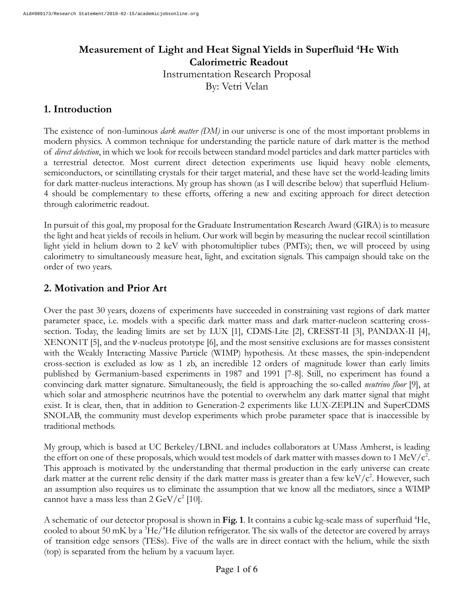# **Measurement of Light and Heat Signal Yields in Superfluid <sup>4</sup>He With Calorimetric Readout**

Instrumentation Research Proposal By: Vetri Velan

### **1. Introduction**

The existence of non-luminous *dark matter (DM)* in our universe is one of the most important problems in modern physics. A common technique for understanding the particle nature of dark matter is the method of *direct detection*, in which we look for recoils between standard model particles and dark matter particles with a terrestrial detector. Most current direct detection experiments use liquid heavy noble elements, semiconductors, or scintillating crystals for their target material, and these have set the world-leading limits for dark matter-nucleus interactions. My group has shown (as I will describe below) that superfluid Helium-4 should be complementary to these efforts, offering a new and exciting approach for direct detection through calorimetric readout.

In pursuit of this goal, my proposal for the Graduate Instrumentation Research Award (GIRA) is to measure the light and heat yields of recoils in helium. Our work will begin by measuring the nuclear recoil scintillation light yield in helium down to 2 keV with photomultiplier tubes (PMTs); then, we will proceed by using calorimetry to simultaneously measure heat, light, and excitation signals. This campaign should take on the order of two years.

# **2. Motivation and Prior Art**

Over the past 30 years, dozens of experiments have succeeded in constraining vast regions of dark matter parameter space, i.e. models with a specific dark matter mass and dark matter-nucleon scattering crosssection. Today, the leading limits are set by LUX [1], CDMS-Lite [2], CRESST-II [3], PANDAX-II [4], XENON1T [5], and the  $\nu$ -nucleus prototype [6], and the most sensitive exclusions are for masses consistent with the Weakly Interacting Massive Particle (WIMP) hypothesis. At these masses, the spin-independent cross-section is excluded as low as 1 zb, an incredible 12 orders of magnitude lower than early limits published by Germanium-based experiments in 1987 and 1991 [7-8]. Still, no experiment has found a convincing dark matter signature. Simultaneously, the field is approaching the so-called *neutrino floor* [9], at which solar and atmospheric neutrinos have the potential to overwhelm any dark matter signal that might exist. It is clear, then, that in addition to Generation-2 experiments like LUX-ZEPLIN and SuperCDMS SNOLAB, the community must develop experiments which probe parameter space that is inaccessible by traditional methods.

My group, which is based at UC Berkeley/LBNL and includes collaborators at UMass Amherst, is leading the effort on one of these proposals, which would test models of dark matter with masses down to 1 MeV/ $c^2$ . This approach is motivated by the understanding that thermal production in the early universe can create dark matter at the current relic density if the dark matter mass is greater than a few keV/ $c^2$ . However, such an assumption also requires us to eliminate the assumption that we know all the mediators, since a WIMP cannot have a mass less than  $2 \text{ GeV}/c^2$  [10].

A schematic of our detector proposal is shown in **Fig. 1**. It contains a cubic kg-scale mass of superfluid <sup>4</sup>He, cooled to about 50 mK by a  ${}^{3}$ He/ ${}^{4}$ He dilution refrigerator. The six walls of the detector are covered by arrays of transition edge sensors (TESs). Five of the walls are in direct contact with the helium, while the sixth (top) is separated from the helium by a vacuum layer.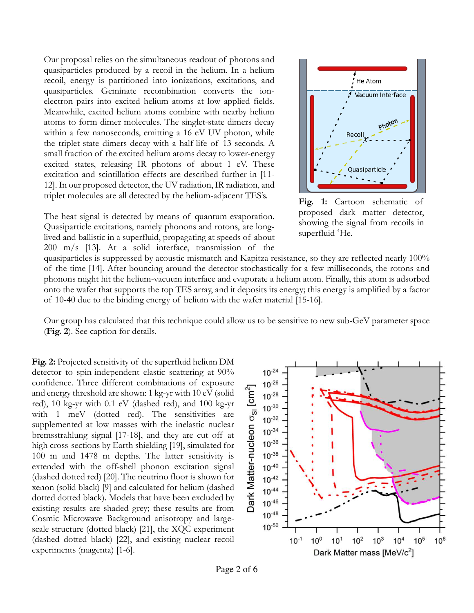Our proposal relies on the simultaneous readout of photons and quasiparticles produced by a recoil in the helium. In a helium recoil, energy is partitioned into ionizations, excitations, and quasiparticles. Geminate recombination converts the ionelectron pairs into excited helium atoms at low applied fields. Meanwhile, excited helium atoms combine with nearby helium atoms to form dimer molecules. The singlet-state dimers decay within a few nanoseconds, emitting a 16 eV UV photon, while the triplet-state dimers decay with a half-life of 13 seconds. A small fraction of the excited helium atoms decay to lower-energy excited states, releasing IR photons of about 1 eV. These excitation and scintillation effects are described further in [11- 12]. In our proposed detector, the UV radiation, IR radiation, and triplet molecules are all detected by the helium-adjacent TES's.

The heat signal is detected by means of quantum evaporation. Quasiparticle excitations, namely phonons and rotons, are longlived and ballistic in a superfluid, propagating at speeds of about 200 m/s [13]. At a solid interface, transmission of the



**Fig. 1:** Cartoon schematic of proposed dark matter detector, showing the signal from recoils in superfluid <sup>4</sup>He.

quasiparticles is suppressed by acoustic mismatch and Kapitza resistance, so they are reflected nearly 100% of the time [14]. After bouncing around the detector stochastically for a few milliseconds, the rotons and phonons might hit the helium-vacuum interface and evaporate a helium atom. Finally, this atom is adsorbed onto the wafer that supports the top TES array, and it deposits its energy; this energy is amplified by a factor of 10-40 due to the binding energy of helium with the wafer material [15-16].

Our group has calculated that this technique could allow us to be sensitive to new sub-GeV parameter space (**Fig. 2**). See caption for details.

**Fig. 2:** Projected sensitivity of the superfluid helium DM detector to spin-independent elastic scattering at 90% confidence. Three different combinations of exposure and energy threshold are shown: 1 kg-yr with 10 eV (solid red), 10 kg-yr with 0.1 eV (dashed red), and 100 kg-yr with 1 meV (dotted red). The sensitivities are supplemented at low masses with the inelastic nuclear bremsstrahlung signal [17-18], and they are cut off at high cross-sections by Earth shielding [19], simulated for 100 m and 1478 m depths. The latter sensitivity is extended with the off-shell phonon excitation signal (dashed dotted red) [20]. The neutrino floor is shown for xenon (solid black) [9] and calculated for helium (dashed dotted dotted black). Models that have been excluded by existing results are shaded grey; these results are from Cosmic Microwave Background anisotropy and largescale structure (dotted black) [21], the XQC experiment (dashed dotted black) [22], and existing nuclear recoil experiments (magenta) [1-6].



Page 2 of 6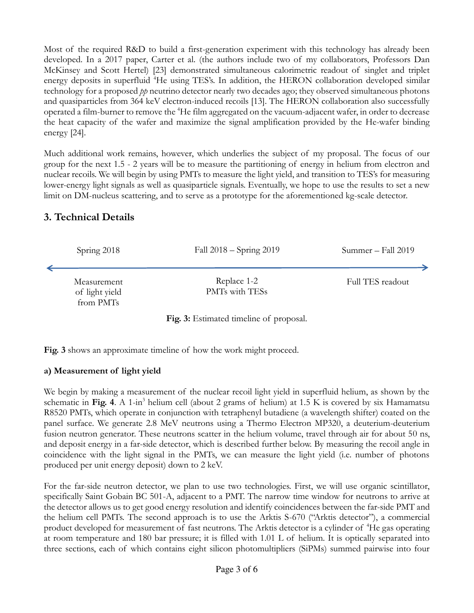Most of the required R&D to build a first-generation experiment with this technology has already been developed. In a 2017 paper, Carter et al. (the authors include two of my collaborators, Professors Dan McKinsey and Scott Hertel) [23] demonstrated simultaneous calorimetric readout of singlet and triplet energy deposits in superfluid <sup>4</sup>He using TES's. In addition, the HERON collaboration developed similar technology for a proposed *pp* neutrino detector nearly two decades ago; they observed simultaneous photons and quasiparticles from 364 keV electron-induced recoils [13]. The HERON collaboration also successfully operated a film-burner to remove the <sup>4</sup>He film aggregated on the vacuum-adjacent wafer, in order to decrease the heat capacity of the wafer and maximize the signal amplification provided by the He-wafer binding energy [24].

Much additional work remains, however, which underlies the subject of my proposal. The focus of our group for the next 1.5 - 2 years will be to measure the partitioning of energy in helium from electron and nuclear recoils. We will begin by using PMTs to measure the light yield, and transition to TES's for measuring lower-energy light signals as well as quasiparticle signals. Eventually, we hope to use the results to set a new limit on DM-nucleus scattering, and to serve as a prototype for the aforementioned kg-scale detector.

## **3. Technical Details**



**Fig. 3:** Estimated timeline of proposal.

**Fig. 3** shows an approximate timeline of how the work might proceed.

#### **a) Measurement of light yield**

We begin by making a measurement of the nuclear recoil light yield in superfluid helium, as shown by the schematic in Fig. 4. A 1-in<sup>3</sup> helium cell (about 2 grams of helium) at 1.5 K is covered by six Hamamatsu R8520 PMTs, which operate in conjunction with tetraphenyl butadiene (a wavelength shifter) coated on the panel surface. We generate 2.8 MeV neutrons using a Thermo Electron MP320, a deuterium-deuterium fusion neutron generator. These neutrons scatter in the helium volume, travel through air for about 50 ns, and deposit energy in a far-side detector, which is described further below. By measuring the recoil angle in coincidence with the light signal in the PMTs, we can measure the light yield (i.e. number of photons produced per unit energy deposit) down to 2 keV.

For the far-side neutron detector, we plan to use two technologies. First, we will use organic scintillator, specifically Saint Gobain BC 501-A, adjacent to a PMT. The narrow time window for neutrons to arrive at the detector allows us to get good energy resolution and identify coincidences between the far-side PMT and the helium cell PMTs. The second approach is to use the Arktis S-670 ("Arktis detector"), a commercial product developed for measurement of fast neutrons. The Arktis detector is a cylinder of <sup>4</sup>He gas operating at room temperature and 180 bar pressure; it is filled with 1.01 L of helium. It is optically separated into three sections, each of which contains eight silicon photomultipliers (SiPMs) summed pairwise into four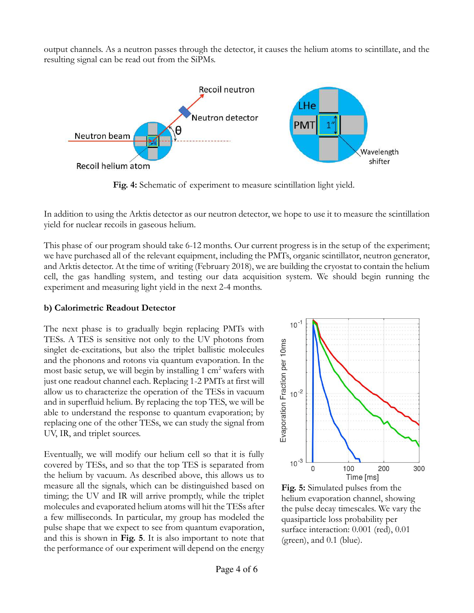output channels. As a neutron passes through the detector, it causes the helium atoms to scintillate, and the resulting signal can be read out from the SiPMs.



**Fig. 4:** Schematic of experiment to measure scintillation light yield.

In addition to using the Arktis detector as our neutron detector, we hope to use it to measure the scintillation yield for nuclear recoils in gaseous helium.

This phase of our program should take 6-12 months. Our current progress is in the setup of the experiment; we have purchased all of the relevant equipment, including the PMTs, organic scintillator, neutron generator, and Arktis detector. At the time of writing (February 2018), we are building the cryostat to contain the helium cell, the gas handling system, and testing our data acquisition system. We should begin running the experiment and measuring light yield in the next 2-4 months.

#### **b) Calorimetric Readout Detector**

The next phase is to gradually begin replacing PMTs with TESs. A TES is sensitive not only to the UV photons from singlet de-excitations, but also the triplet ballistic molecules and the phonons and rotons via quantum evaporation. In the most basic setup, we will begin by installing 1 cm<sup>2</sup> wafers with just one readout channel each. Replacing 1-2 PMTs at first will allow us to characterize the operation of the TESs in vacuum and in superfluid helium. By replacing the top TES, we will be able to understand the response to quantum evaporation; by replacing one of the other TESs, we can study the signal from UV, IR, and triplet sources.

Eventually, we will modify our helium cell so that it is fully covered by TESs, and so that the top TES is separated from the helium by vacuum. As described above, this allows us to measure all the signals, which can be distinguished based on timing; the UV and IR will arrive promptly, while the triplet molecules and evaporated helium atoms will hit the TESs after a few milliseconds. In particular, my group has modeled the pulse shape that we expect to see from quantum evaporation, and this is shown in **Fig. 5**. It is also important to note that the performance of our experiment will depend on the energy



**Fig. 5:** Simulated pulses from the helium evaporation channel, showing the pulse decay timescales. We vary the quasiparticle loss probability per surface interaction: 0.001 (red), 0.01 (green), and 0.1 (blue).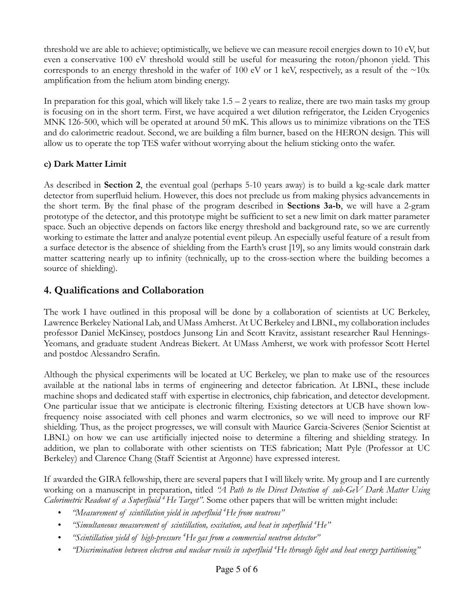threshold we are able to achieve; optimistically, we believe we can measure recoil energies down to 10 eV, but even a conservative 100 eV threshold would still be useful for measuring the roton/phonon yield. This corresponds to an energy threshold in the wafer of 100 eV or 1 keV, respectively, as a result of the  $\sim$ 10x amplification from the helium atom binding energy.

In preparation for this goal, which will likely take  $1.5 - 2$  years to realize, there are two main tasks my group is focusing on in the short term. First, we have acquired a wet dilution refrigerator, the Leiden Cryogenics MNK 126-500, which will be operated at around 50 mK. This allows us to minimize vibrations on the TES and do calorimetric readout. Second, we are building a film burner, based on the HERON design. This will allow us to operate the top TES wafer without worrying about the helium sticking onto the wafer.

#### **c) Dark Matter Limit**

As described in **Section 2**, the eventual goal (perhaps 5-10 years away) is to build a kg-scale dark matter detector from superfluid helium. However, this does not preclude us from making physics advancements in the short term. By the final phase of the program described in **Sections 3a-b**, we will have a 2-gram prototype of the detector, and this prototype might be sufficient to set a new limit on dark matter parameter space. Such an objective depends on factors like energy threshold and background rate, so we are currently working to estimate the latter and analyze potential event pileup. An especially useful feature of a result from a surface detector is the absence of shielding from the Earth's crust [19], so any limits would constrain dark matter scattering nearly up to infinity (technically, up to the cross-section where the building becomes a source of shielding).

## **4. Qualifications and Collaboration**

The work I have outlined in this proposal will be done by a collaboration of scientists at UC Berkeley, Lawrence Berkeley National Lab, and UMass Amherst. At UC Berkeley and LBNL, my collaboration includes professor Daniel McKinsey, postdocs Junsong Lin and Scott Kravitz, assistant researcher Raul Hennings-Yeomans, and graduate student Andreas Biekert. At UMass Amherst, we work with professor Scott Hertel and postdoc Alessandro Serafin.

Although the physical experiments will be located at UC Berkeley, we plan to make use of the resources available at the national labs in terms of engineering and detector fabrication. At LBNL, these include machine shops and dedicated staff with expertise in electronics, chip fabrication, and detector development. One particular issue that we anticipate is electronic filtering. Existing detectors at UCB have shown lowfrequency noise associated with cell phones and warm electronics, so we will need to improve our RF shielding. Thus, as the project progresses, we will consult with Maurice Garcia-Sciveres (Senior Scientist at LBNL) on how we can use artificially injected noise to determine a filtering and shielding strategy. In addition, we plan to collaborate with other scientists on TES fabrication; Matt Pyle (Professor at UC Berkeley) and Clarence Chang (Staff Scientist at Argonne) have expressed interest.

If awarded the GIRA fellowship, there are several papers that I will likely write. My group and I are currently working on a manuscript in preparation, titled *"A Path to the Direct Detection of sub-GeV Dark Matter Using Calorimetric Readout of a Superfluid <sup>4</sup>He Target"*. Some other papers that will be written might include:

- *"Measurement of scintillation yield in superfluid <sup>4</sup>He from neutrons"*
- *"Simultaneous measurement of scintillation, excitation, and heat in superfluid <sup>4</sup>He"*
- *"Scintillation yield of high-pressure <sup>4</sup>He gas from a commercial neutron detector"*
- *"Discrimination between electron and nuclear recoils in superfluid <sup>4</sup>He through light and heat energy partitioning"*